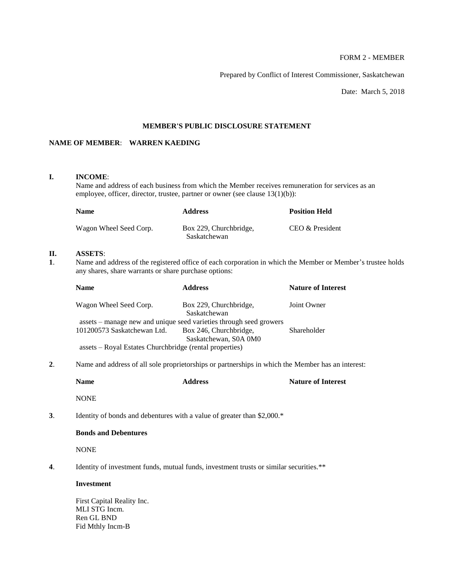# FORM 2 - MEMBER

Prepared by Conflict of Interest Commissioner, Saskatchewan

Date: March 5, 2018

# **MEMBER'S PUBLIC DISCLOSURE STATEMENT**

# **NAME OF MEMBER**: **WARREN KAEDING**

# **I. INCOME**:

Name and address of each business from which the Member receives remuneration for services as an employee, officer, director, trustee, partner or owner (see clause 13(1)(b)):

| <b>Name</b>            | <b>Address</b>                         | <b>Position Held</b> |
|------------------------|----------------------------------------|----------------------|
| Wagon Wheel Seed Corp. | Box 229, Churchbridge,<br>Saskatchewan | CEO & President      |

# **II. ASSETS**:

Fid Mthly Incm-B

**1**. Name and address of the registered office of each corporation in which the Member or Member's trustee holds any shares, share warrants or share purchase options:

| <b>Name</b>                                             | <b>Address</b>                                                     | <b>Nature of Interest</b> |
|---------------------------------------------------------|--------------------------------------------------------------------|---------------------------|
| Wagon Wheel Seed Corp.                                  | Box 229, Churchbridge,<br>Saskatchewan                             | Joint Owner               |
|                                                         |                                                                    |                           |
|                                                         | assets – manage new and unique seed varieties through seed growers |                           |
| 101200573 Saskatchewan Ltd.                             | Box 246, Churchbridge,                                             | Shareholder               |
|                                                         | Saskatchewan, S0A 0M0                                              |                           |
| assets – Royal Estates Churchbridge (rental properties) |                                                                    |                           |

**2**. Name and address of all sole proprietorships or partnerships in which the Member has an interest:

|    | <b>Name</b>                                               | <b>Address</b>                                                                         | <b>Nature of Interest</b> |
|----|-----------------------------------------------------------|----------------------------------------------------------------------------------------|---------------------------|
|    | <b>NONE</b>                                               |                                                                                        |                           |
| 3. |                                                           | Identity of bonds and debentures with a value of greater than \$2,000.*                |                           |
|    | <b>Bonds and Debentures</b>                               |                                                                                        |                           |
|    | <b>NONE</b>                                               |                                                                                        |                           |
| 4. |                                                           | Identity of investment funds, mutual funds, investment trusts or similar securities.** |                           |
|    | <b>Investment</b>                                         |                                                                                        |                           |
|    | First Capital Reality Inc.<br>MLI STG Incm.<br>Ren GL BND |                                                                                        |                           |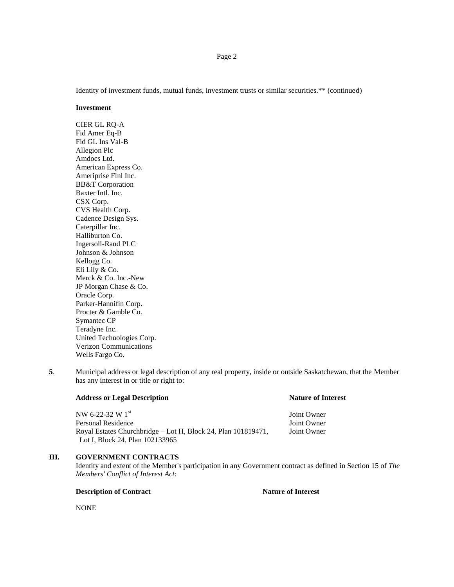Identity of investment funds, mutual funds, investment trusts or similar securities.\*\* (continued)

#### **Investment**

CIER GL RQ-A Fid Amer Eq-B Fid GL Ins Val-B Allegion Plc Amdocs Ltd. American Express Co. Ameriprise Finl Inc. BB&T Corporation Baxter Intl. Inc. CSX Corp. CVS Health Corp. Cadence Design Sys. Caterpillar Inc. Halliburton Co. Ingersoll-Rand PLC Johnson & Johnson Kellogg Co. Eli Lily & Co. Merck & Co. Inc.-New JP Morgan Chase & Co. Oracle Corp. Parker-Hannifin Corp. Procter & Gamble Co. Symantec CP Teradyne Inc. United Technologies Corp. Verizon Communications Wells Fargo Co.

**5**. Municipal address or legal description of any real property, inside or outside Saskatchewan, that the Member has any interest in or title or right to:

## **Address or Legal Description Nature of Interest**

 $NW 6-22-32 W 1<sup>st</sup>$  Joint Owner Personal Residence **View Serversonal Residence** And The *Joint Owner* Royal Estates Churchbridge – Lot H, Block 24, Plan 101819471, Joint Owner Lot I, Block 24, Plan 102133965

## **III. GOVERNMENT CONTRACTS**

Identity and extent of the Member's participation in any Government contract as defined in Section 15 of *The Members' Conflict of Interest Act*:

#### **Description of Contract Nature of Interest**

NONE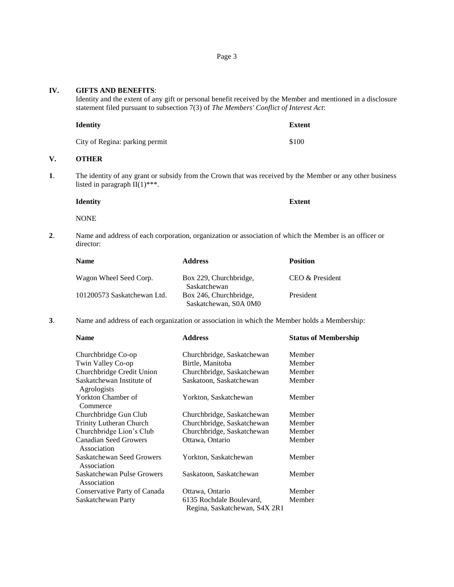**IV.** 

**V**.

| IV. | <b>GIFTS AND BENEFITS:</b>                                                                                                                    | Identity and the extent of any gift or personal benefit received by the Member and mentioned in a disclosure<br>statement filed pursuant to subsection 7(3) of The Members' Conflict of Interest Act: |                 |  |
|-----|-----------------------------------------------------------------------------------------------------------------------------------------------|-------------------------------------------------------------------------------------------------------------------------------------------------------------------------------------------------------|-----------------|--|
|     | <b>Identity</b>                                                                                                                               |                                                                                                                                                                                                       | <b>Extent</b>   |  |
|     | City of Regina: parking permit                                                                                                                |                                                                                                                                                                                                       | \$100           |  |
| V.  | <b>OTHER</b>                                                                                                                                  |                                                                                                                                                                                                       |                 |  |
| 1.  | The identity of any grant or subsidy from the Crown that was received by the Member or any other business<br>listed in paragraph $II(1)$ ***. |                                                                                                                                                                                                       |                 |  |
|     | <b>Identity</b>                                                                                                                               |                                                                                                                                                                                                       | <b>Extent</b>   |  |
|     | <b>NONE</b>                                                                                                                                   |                                                                                                                                                                                                       |                 |  |
| 2.  | Name and address of each corporation, organization or association of which the Member is an officer or<br>director:                           |                                                                                                                                                                                                       |                 |  |
|     | <b>Name</b>                                                                                                                                   | <b>Address</b>                                                                                                                                                                                        | <b>Position</b> |  |
|     | Wagon Wheel Seed Corp.                                                                                                                        | Box 229, Churchbridge,<br>Saskatchewan                                                                                                                                                                | CEO & President |  |
|     | 101200573 Saskatchewan Ltd.                                                                                                                   | Box 246, Churchbridge,<br>Saskatchewan, S0A 0M0                                                                                                                                                       | President       |  |
| 3.  |                                                                                                                                               | Name and address of each organization or association in which the Member holds a Membership:                                                                                                          |                 |  |

| <b>Name</b>                                 | <b>Address</b>                                            | <b>Status of Membership</b> |
|---------------------------------------------|-----------------------------------------------------------|-----------------------------|
| Churchbridge Co-op                          | Churchbridge, Saskatchewan                                | Member                      |
| Twin Valley Co-op                           | Birtle, Manitoba                                          | Member                      |
| Churchbridge Credit Union                   | Churchbridge, Saskatchewan                                | Member                      |
| Saskatchewan Institute of<br>Agrologists    | Saskatoon, Saskatchewan                                   | Member                      |
| Yorkton Chamber of<br>Commerce              | Yorkton, Saskatchewan                                     | Member                      |
| Churchbridge Gun Club                       | Churchbridge, Saskatchewan                                | Member                      |
| <b>Trinity Lutheran Church</b>              | Churchbridge, Saskatchewan                                | Member                      |
| Churchbridge Lion's Club                    | Churchbridge, Saskatchewan                                | Member                      |
| <b>Canadian Seed Growers</b><br>Association | Ottawa, Ontario                                           | Member                      |
| Saskatchewan Seed Growers<br>Association    | Yorkton, Saskatchewan                                     | Member                      |
| Saskatchewan Pulse Growers<br>Association   | Saskatoon, Saskatchewan                                   | Member                      |
| Conservative Party of Canada                | Ottawa, Ontario                                           | Member                      |
| Saskatchewan Party                          | 6135 Rochdale Boulevard,<br>Regina, Saskatchewan, S4X 2R1 | Member                      |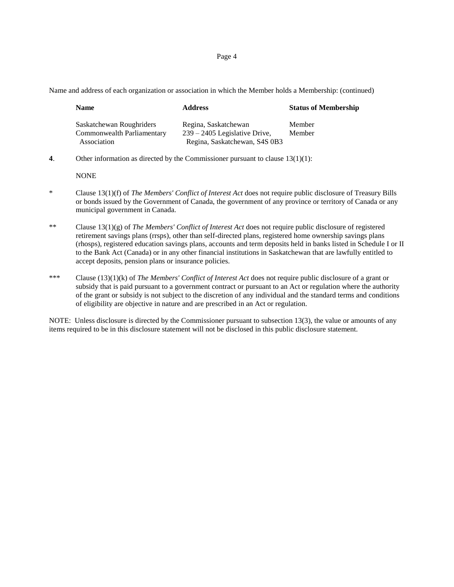Page 4

Name and address of each organization or association in which the Member holds a Membership: (continued)

| <b>Name</b>                                                           | <b>Address</b>                                                                           | <b>Status of Membership</b> |
|-----------------------------------------------------------------------|------------------------------------------------------------------------------------------|-----------------------------|
| Saskatchewan Roughriders<br>Commonwealth Parliamentary<br>Association | Regina, Saskatchewan<br>$239 - 2405$ Legislative Drive,<br>Regina, Saskatchewan, S4S 0B3 | Member<br>Member            |

**4**. Other information as directed by the Commissioner pursuant to clause 13(1)(1):

NONE

- \* Clause 13(1)(f) of *The Members' Conflict of Interest Act* does not require public disclosure of Treasury Bills or bonds issued by the Government of Canada, the government of any province or territory of Canada or any municipal government in Canada.
- \*\* Clause 13(1)(g) of *The Members' Conflict of Interest Act* does not require public disclosure of registered retirement savings plans (rrsps), other than self-directed plans, registered home ownership savings plans (rhosps), registered education savings plans, accounts and term deposits held in banks listed in Schedule I or II to the Bank Act (Canada) or in any other financial institutions in Saskatchewan that are lawfully entitled to accept deposits, pension plans or insurance policies.
- \*\*\* Clause (13)(1)(k) of *The Members' Conflict of Interest Act* does not require public disclosure of a grant or subsidy that is paid pursuant to a government contract or pursuant to an Act or regulation where the authority of the grant or subsidy is not subject to the discretion of any individual and the standard terms and conditions of eligibility are objective in nature and are prescribed in an Act or regulation.

NOTE: Unless disclosure is directed by the Commissioner pursuant to subsection 13(3), the value or amounts of any items required to be in this disclosure statement will not be disclosed in this public disclosure statement.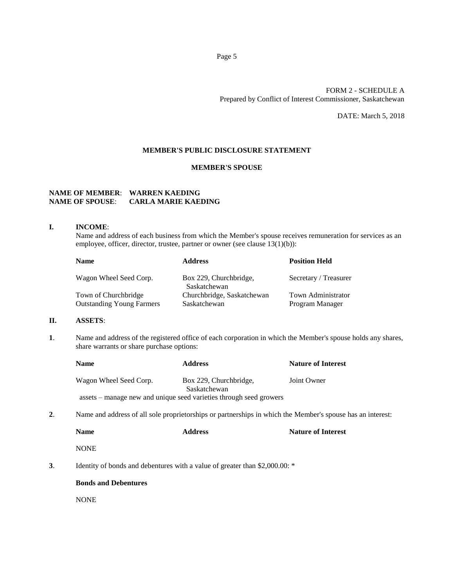# FORM 2 - SCHEDULE A Prepared by Conflict of Interest Commissioner, Saskatchewan

DATE: March 5, 2018

## **MEMBER'S PUBLIC DISCLOSURE STATEMENT**

## **MEMBER'S SPOUSE**

# **NAME OF MEMBER**: **WARREN KAEDING NAME OF SPOUSE**: **CARLA MARIE KAEDING**

## **I. INCOME**:

Name and address of each business from which the Member's spouse receives remuneration for services as an employee, officer, director, trustee, partner or owner (see clause 13(1)(b)):

| <b>Name</b>                      | <b>Address</b>                         | <b>Position Held</b>      |
|----------------------------------|----------------------------------------|---------------------------|
| Wagon Wheel Seed Corp.           | Box 229, Churchbridge,<br>Saskatchewan | Secretary / Treasurer     |
| Town of Churchbridge             | Churchbridge, Saskatchewan             | <b>Town Administrator</b> |
| <b>Outstanding Young Farmers</b> | Saskatchewan                           | Program Manager           |

# **II. ASSETS**:

**1**. Name and address of the registered office of each corporation in which the Member's spouse holds any shares, share warrants or share purchase options:

|    | <b>Name</b>                                                                                                | <b>Address</b>                                                     | <b>Nature of Interest</b> |
|----|------------------------------------------------------------------------------------------------------------|--------------------------------------------------------------------|---------------------------|
|    | Wagon Wheel Seed Corp.                                                                                     | Box 229, Churchbridge,<br>Saskatchewan                             | Joint Owner               |
|    |                                                                                                            | assets – manage new and unique seed varieties through seed growers |                           |
| 2. | Name and address of all sole proprietorships or partnerships in which the Member's spouse has an interest: |                                                                    |                           |

| Name | <b>Address</b> | <b>Nature of Interest</b> |
|------|----------------|---------------------------|
|      |                |                           |

**NONE** 

**3**. Identity of bonds and debentures with a value of greater than \$2,000.00: \*

# **Bonds and Debentures**

NONE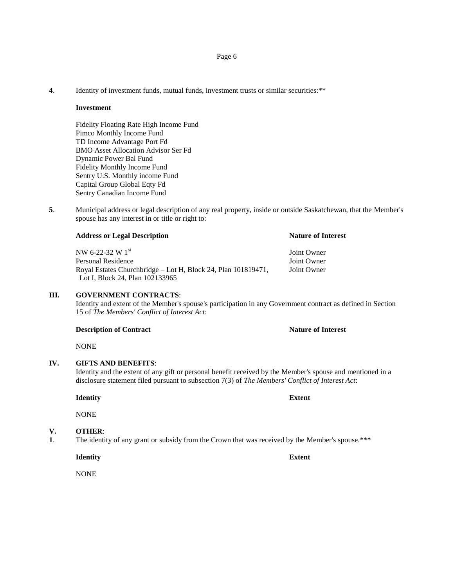## Page 6

**4**. Identity of investment funds, mutual funds, investment trusts or similar securities:\*\*

#### **Investment**

Fidelity Floating Rate High Income Fund Pimco Monthly Income Fund TD Income Advantage Port Fd BMO Asset Allocation Advisor Ser Fd Dynamic Power Bal Fund Fidelity Monthly Income Fund Sentry U.S. Monthly income Fund Capital Group Global Eqty Fd Sentry Canadian Income Fund

**5**. Municipal address or legal description of any real property, inside or outside Saskatchewan, that the Member's spouse has any interest in or title or right to:

| NW 6-22-32 W $1^{\rm st}$                                     | Joint Owner |
|---------------------------------------------------------------|-------------|
| Personal Residence                                            | Joint Owner |
| Royal Estates Churchbridge – Lot H, Block 24, Plan 101819471, | Joint Owner |
| Lot I, Block 24, Plan 102133965                               |             |

## **III. GOVERNMENT CONTRACTS**:

Identity and extent of the Member's spouse's participation in any Government contract as defined in Section 15 of *The Members' Conflict of Interest Act*:

## **Description of Contract Nature of Interest**

NONE

# **IV. GIFTS AND BENEFITS**:

Identity and the extent of any gift or personal benefit received by the Member's spouse and mentioned in a disclosure statement filed pursuant to subsection 7(3) of *The Members' Conflict of Interest Act*:

**Identity Extent**

NONE

## **V. OTHER**:

**1**. The identity of any grant or subsidy from the Crown that was received by the Member's spouse.\*\*\*

**Identity Extent**

**NONE** 

## **Address or Legal Description Nature of Interest**